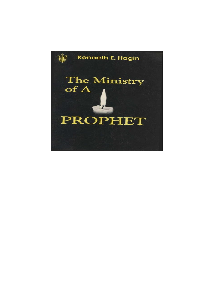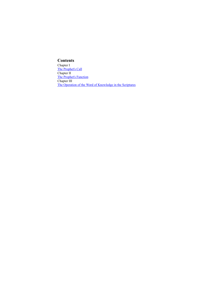# **Contents**

Chapter I The Prophet's Call Chapter II The Prophet's Function Chapter III The Operation of the Word of Knowledge in the Scriptures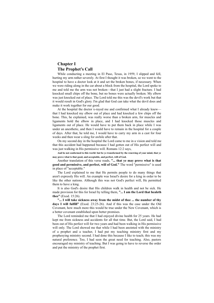## **Chapter I The Prophet's Call**

While conducting a meeting in El Paso, Texas, in 1959, I slipped and fell, hurting my arm rather severely. At first I thought it was broken, so we went to the hospital to have a doctor look at it and set the broken bones, if necessary. When we were riding along in the car about a block from the hospital, the Lord spoke to me and told me the arm was not broken—that I just had a slight fracture. I had knocked small chips off the bone, but no bones were actually broken. My elbow was just knocked out of place. The Lord told me this was the devil's work but that it would result in God's glory. I'm glad that God can take what the devil does and make it work together for our good.

At the hospital the doctor x-rayed me and confirmed what I already knew that I had knocked my elbow out of place and had knocked a few chips off the bone. This, he explained, was really worse than a broken arm, for muscles and ligaments hold the elbow in place, and I had knocked those muscles and ligaments out of place. He would have to put them back in place while I was under an anesthetic, and then I would have to remain in the hospital for a couple of days. After that, he told me, I would have to carry my arm in a cast for four weeks and then wear a sling for awhile after that.

On my second day in the hospital the Lord came to me in a vision and told me that this accident had happened because I had gotten out of His perfect will and was just walking in His permissive will. Romans 12:2 says,

And be not conformed to this world: but be ye transformed by the renewing of your mind, that ye **may prove what is that good, and acceptable, and perfect, will of God.**

Another translation of this verse reads, **"... that ye may prove what is that good and permissive, and perfect, will of God."** The word "permissive" is used in place of "acceptable."

The Lord explained to me that He permits people to do many things that aren't expressly His will. An example was Israel's desire for a king in order to be like the other nations. Although this was not God's perfect will, He permitted them to have a king.

It is also God's desire that His children walk in health and not be sick. He made provision for this for Israel by telling them, **"... I am the Lord that healeth thee"** (Exod. 15:26).

**"... I will take sickness away from the midst of thee ... the number of thy days I will fulfill"** (Exod. 23:25-26). And if this was the case under the Old Covenant, how much more this would be true under the New Covenant, which is a better covenant established upon better promises.

The Lord reminded me that I had enjoyed divine health for 25 years. He had kept me from sickness and accidents for all that time. But, the Lord said, I had been out of His perfect will for two years and had been walking in His permissive will only. The Lord showed me that while I had been anointed with the ministry of a prophet and a teacher, I had put my teaching ministry first and my prophesying ministry second. I had done this because I like to teach; this was my natural preference. Too, I had seen the great need for teaching. Also, pastors encouraged my ministry of teaching. But I was going to have to reverse the order and put the ministry of the prophet first.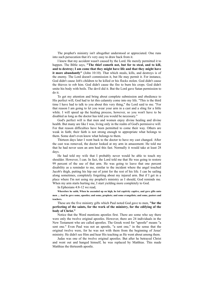The prophet's ministry isn't altogether understood or appreciated. One runs into such persecution that it's very easy to draw back from it.

I knew that my accident wasn't caused by the Lord. He merely permitted it to happen. The Bible says, **"The thief cometh not, but for to steal, and to kill, and to destroy; I am come that they might have life and that they might have it more abundantly"** (John 10:10). That which steals, kills, and destroys is of the enemy. The Lord doesn't commission it, but He may permit it. For instance, God didn't cause Job's children to be killed or his flocks stolen. God didn't cause the thieves to rob him. God didn't cause the fire to burn his crops. God didn't smite his body with boils. The devil did it. But the Lord gave Satan permission to do it.

To get my attention and bring about complete submission and obedience to His perfect will, God had to let this calamity come into my life. "This is the third time I have had to talk to you about this very thing," the Lord said to me. "For that reason I am going to let you wear your arm in a cast and a sling for a little while. I will speed up the healing process, however, so you won't have to be disabled as long as the doctor has told you would be necessary."

God's perfect will is that men and women enjoy divine healing and divine health. But many are like I was, living only in the realm of God's permissive will. For that reason difficulties have been permitted to come their way. Others are weak in faith; their faith is not strong enough to appropriate what belongs to them. Some don't even know what belongs to them.

Thirteen days later I went back to the doctor to have my cast changed. After the cast was removed, the doctor looked at my arm in amazement. He told me that he had never seen an arm heal this fast. Normally it would take at least 28 days.

He had told my wife that I probably never would be able to touch my shoulder. However, I can. In fact, the Lord told me that He was going to restore 99 percent of the use of that arm. He was going to leave that one percent disability as a reminder to me, similar to the incident where the angel touched Jacob's thigh, putting his hip out of joint for the rest of his life. I can be sailing along sometimes, completely forgetting about my injured arm. But if I get in a place where I'm not using my prophet's ministry as I should, God reminds me. When my arm starts hurting me, I start yielding more completely to God.

In Ephesians 4:8-12 we read,

**Wherefore he saith, When he ascended up on high, he led captivity captive, and gave gifts unto men ... And he gave some, apostles; and some, prophets; and some evangelists; and some, pastors and teachers.**

These are the five ministry gifts which Paul noted God gave to men, **"for the perfecting of the saints, for the work of the ministry, for the edifying of the body of Christ."**

Notice that the Word mentions apostles first. There are some who say there were only the twelve original apostles. However, there are 24 individuals in the New Testament who are called apostles. The Greek word for "apostle" means "a sent one." Even Paul was not an apostle, "a sent one," in the sense that the original twelve were, for he was not with them from the beginning of Jesus' ministry. He didn't see Him and hear His teaching as He went about among them.

Judas was one of the twelve original apostles. But after he betrayed Christ and went out and hanged himself, he was replaced by Matthias. This made Matthias the thirteenth apostle.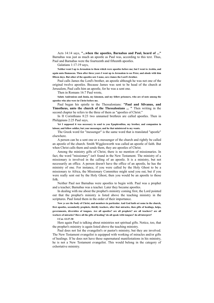Acts 14:14 says, **"...when the apostles, Barnabas and Paul, heard of ..."** Barnabas was just as much an apostle as Paul was, according to this text. Thus, Paul and Barnabas were the fourteenth and fifteenth apostles.

Galatians 1:17-19 says,

Neither went I up to Jerusalem to them which were apostles before me; but I went to Arabia, and again unto Damascus. Then after three years I went up to Jerusalem to see Peter, and abode with him **fifteen days. But other of the apostles saw I none, save James the Lord's brother.**

Paul calls James the Lord's brother, an apostle although he was not one of the original twelve apostles. Because James was sent to be head of the church at Jerusalem, Paul calls him an apostle, for he was a sent one.

Then in Romans 16:7 Paul wrote,

**Salute Andronicus and Junia, my kinsmen, and my fellow prisoners, who are of note among the apostles who also were in Christ before me.**

Paul began his epistle to the Thessalonians: **"Paul and Silvanus, and Timotheus, unto the church of the Thessalonians ... "** Then writing in the second chapter he refers to the three of them as "apostles of Christ."

In II Corinthians 8:23 two unnamed brethren are called apostles. Then in Philippians 2:25 Paul says,

**Yet I supposed it was necessary to send to you Epaphroditus, my brother, and companion in labour, and fellow soldier, but your messenger, and he that ministered to my wants.**

The Greek word for "messenger" is the same word that is translated "apostle" elsewhere.

A person can be a sent one or a messenger of the church and rightly be called an apostle of the church. Smith Wigglesworth was called an apostle of faith. But when Christ calls them and sends them, they are apostles of Christ.

Among the ministry gifts of Christ, there is no mention of missionaries. In fact, the word "missionary" isn't found in the New Testament. The ministry of a missionary is involved in the calling of an apostle. It is a ministry, but not necessarily an office. A person doesn't have the office of an apostle, he has the ministry of one. For instance, if you were called by the Holy Ghost to be a missionary to Africa, the Missionary Committee might send you out, but if you were really sent out by the Holy Ghost, then you would be an apostle to those folk.

Neither Paul nor Barnabas were apostles to begin with. Paul was a prophet and a teacher; Barnabas was a teacher. Later they became apostles.

In dealing with me about the prophet's ministry coming first, the Lord pointed out that the prophet's ministry is listed above the teaching ministry in the scriptures. Paul listed them in the order of their importance.

Now ye are the body of Christ, and members in particular. And God hath set some in the church, **first apostles, secondarily prophets, thirdly teachers, after that miracles, then gifts of healings, helps, governments, diversities of tongues. Are all apostles? are all prophets? are all teachers? are all workers of miracles? Have all the gifts of healing? do all speak with tongues? do all interpret?**

**I Cor. 12:27-30**

Here again Paul is talking about ministries not spiritual gifts. Notice, too, that the prophet's ministry is again listed above the teaching ministry.

Paul does not list the evangelist's or pastor's ministry, but they are involved. The New Testament evangelist is equipped with working of miracles and/or gifts of healings. If he does not have these supernatural manifestations in his ministry, he is not a New Testament evangelist. This would belong in the category of exhortative ministry.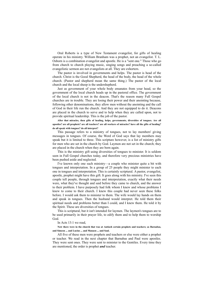Oral Roberts is a type of New Testament evangelist, for gifts of healing operate in his ministry. William Branham was a prophet, not an evangelist. T. L. Osborn is a combination evangelist and apostle. He is a "sent one." Those who go from church to church playing music, singing songs and preaching a so-called evangelistic sermon are not evangelists at all. They are exhorters.

The pastor is involved in governments and helps. The pastor is head of the church. Christ is the Good Shepherd, the head of the body, the head of the whole church. (Pastor and shepherd mean the same thing.) The pastor of the local church and the local sheep is the undershepherd.

Just as government of your whole body emanates from your head, so the government of the local church heads up in the pastoral office. The government of the local church is not in the deacon. That's the reason many Full Gospel churches are in trouble. They are losing their power and their anointing because, following other denominations, they allow men without the anointing and the call of God in their life run the church. And they are not equipped to do it. Deacons are placed in the church to serve and to help when they are called upon, not to provide spiritual leadership. This is the job of the pastor.

**After that miracles, then gifts of healing, helps, governments, diversities of tongues. Are all** apostles? are all prophets? are all teachers? are all workers of miracles? have all the gifts of healing? **do all speak with tongues? do all interpret?**

This passage refers to a ministry of tongues, not to lay members' giving messages in tongues. Of course, the Word of God says that lay members may speak but it is limited to three. This scripture however, is a list of ministry gifts for men who are set in the church by God. Laymen are not set in the church; they are placed in the church when they are born again.

This is the ministry gift using diversities of tongues to minister. It is seldom seen in Full Gospel churches today, and therefore very precious ministries have been pushed aside and neglected.

I've known only one such ministry—a couple who minister quite a bit with tongues and interpretation. In a group of 25 people they might minister to each one in tongues and interpretation. This is certainly scriptural. A pastor, evangelist, apostle, prophet might have this gift. It goes along with his ministry. I've seen this couple tell people, through tongues and interpretation, exactly what their needs were, what they've thought and said before they came to church, and the answer to their problem. I have purposely had folk whom I knew and whose problems I knew to come to their church. I knew this couple had never seen these folks before. I would ask them to minister to them. The wife would lay hands on them and speak in tongues. Then the husband would interpret. He told them their spiritual needs and problems better than I could, and I knew them. He told it by the Spirit. These are diversities of tongues.

This is scriptural, but it isn't intended for laymen. The laymen's tongues are to be used primarily in their prayer life, to edify them and to help them to worship God.

In Acts 13:1 we read,

**Now there were in the church that was at Antioch certain prophets and teachers; as Barnabas, and Simeon ... and Lucius ... and Manaen ... and Saul.**

All five of these men were prophets and teachers or else were either a prophet or teacher. We read in the next chapter that Barnabas and Paul were apostles. They were sent ones. They were sent to minister to the Gentiles. Every time they are mentioned, the order is prophet *and* teacher.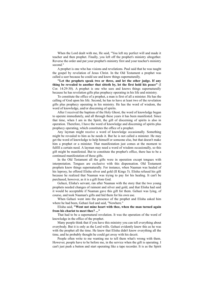When the Lord dealt with me, He said, "You left my perfect will and made it teacher and then prophet. Finally, you left off the prophet's ministry altogether. Reverse the order and put your prophet's ministry first and your teacher's ministry second."

A prophet is one who has visions and revelations. Paul said that he was taught the gospel by revelation of Jesus Christ. In the Old Testament a prophet was called a seer because he could see and know things supernaturally.

**"Let the prophets speak two or three, and let the other judge. If any thing be revealed to another that sitteth by, let the first hold his peace"** (I Cor. 14:29-30). A prophet is one who sees and knows things supernaturally because he has revelation gifts plus prophecy operating in his life and ministry.

To constitute the office of a prophet, a man is first of all a minister. He has the calling of God upon his life. Second, he has to have at least two of the revelation gifts plus prophecy operating in his ministry. He has the word of wisdom, the word of knowledge, and/or discerning of spirits.

After I received the baptism of the Holy Ghost, the word of knowledge began to operate immediately, and all through these years it has been manifested. Since that time, when I am in the Spirit, the gift of discerning of spirits is also in operation. Therefore, I have the word of knowledge and discerning of spirits plus prophecy operating, which constitutes the office of a prophet.

Any layman might receive a word of knowledge occasionally. Something might be revealed to him as he needs it. But he is not called a minister. He may get the word of knowledge to help himself or someone else, but that doesn't make him a prophet or a minister. That manifestation just comes at the moment to fulfill a certain need. A layman may need a word of wisdom occasionally, so this gift might be manifested. But to constitute the prophet's office, there has to be a continued manifestation of these gifts.

In the Old Testament all the gifts were in operation except tongues with interpretation. Tongues are exclusive with this dispensation. Old Testament prophets knew things supernaturally. For instance, when Naaman was healed of his leprosy, he offered Elisha silver and gold (II Kings 5). Elisha refused his gift because he realized that Naaman was trying to pay for his healing. It can't be purchased, however, as it is a gift from God.

Gehazi, Elisha's servant, ran after Naaman with the story that the two young prophets needed changes of raiment and silver and gold, and that Elisha had said it would be acceptable if Naaman gave this gift for them. Gehazi was lying, of course, and took Naaman's gifts and hid them for his own use.

When Gehazi went into the presence of the prophet and Elisha asked him where he had been, Gehazi lied and said, "Nowhere."

Elisha said, **"Went not mine heart with thee, when the man turned again from his chariot to meet thee? ..."**

That had to be a supernatural revelation. It was the operation of the word of knowledge in the office of the prophet.

Many people think that if you have this ministry you can tell everything about everybody. But it is only as the Lord wills. Gehazi evidently knew this as he was with the prophet all the time. He knew that Elisha didn't know everything all the time, and he probably thought he could get away with his deceit.

People often write to me wanting me to tell them what's wrong with them. However, people have to be before me, in the service when the gift is operating. I can't just push a button and start operating like a tape recorder. It is as the Spirit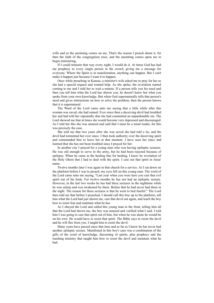wills and as the anointing comes on me. That's the reason I preach about it, for then the faith of the congregation rises, and the anointing comes upon me to begin ministering.

If I could minister that way every night, I would do it. At times God has had me prophesy to every single person in the crowd, giving me a message for everyone. Where the Spirit is in manifestation, anything can happen. But I can't make it happen just because I want it to happen.

Once while preaching in Kansas, a minister's wife asked me to pray for her as she had a special request and wanted help. As she spoke, the revelation started coming to me and I told her to wait a minute. If a person tells you his need and then you tell him what the Lord has shown you, he doesn't know but what you spoke from your own knowledge. But when God supernaturally tells that person's need and gives instructions on how to solve the problem, then the person knows that it is supernatural.

The Word of the Lord came unto me saying that a little while after this woman was saved, she had sinned. Ever since then a deceiving devil had troubled her and had told her repeatedly that she had committed an unpardonable sin. The Lord showed me that at times she would become very depressed and discouraged. As I told her this she was amazed and said that I must be a mind reader, for this was precisely the case.

She told me that two years after she was saved she had told a lie, and the devil had tormented her ever since. I then took authority over the deceiving spirit and commanded him to leave her at that moment. I have seen her since and learned that she has not been troubled since I prayed for her.

In another city I prayed for a young man who was having epileptic seizures. He was old enough to serve in the army, but he had been rejected because of epilepsy. When he came in the healing line for healing, I knew by revelation of the Holy Ghost that I had to deal with the spirit. I cast out that spirit in Jesus' name.

Twelve months later I was again in that church for a service. As I sat down on the platform before I was to preach, my eyes fell on this young man. The word of the Lord came unto me saying, "Last year when you were here you cast that evil spirit out of his body. For twelve months he has not had an epileptic seizure. However, in the last two weeks he has had three seizures in the nighttime while he was asleep and was awakened by them. Before that he had never had them in the night. The reason for these seizures is that he went to bed fearful." The Lord then told me that before I preached, I should call this boy up to the platform, tell him what the Lord had just shown me, cast that devil out again, and teach the boy how to resist fear and maintain what he has.

As I obeyed the Lord and called this young man to the front, telling him all that the Lord had shown me, the boy was amazed and verified what I said. I told him I was going to cast that spirit out of him, but when he was alone he would be on his own. He would have to resist that spirit. The Bible says to resist the devil and he will flee from you. I taught him to resist the devil.

Many years have passed since that time and as far as I know he has never had another epileptic seizure. Manifested in this boy's case was a combination of the gifts of the word of knowledge, discerning of spirits, plus prophecy and the teaching ministry that taught him how to resist the devil and maintain what he had.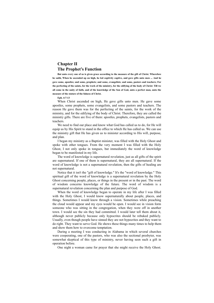## **Chapter II The Prophet's Function**

But unto every one of us is given grace according to the measure of the gift of Christ. Wherefore he saith, When he ascended up on high, he led captivity captive, and gave gifts unto men ... And he **gave some, apostles; and some, prophets; and some, evangelists; and some, pastors and teachers; For** the perfecting of the saints, for the work of the ministry, for the edifying of the body of Christ: Till we all come in the unity of faith, and of the knowledge of the Son of God, unto a perfect man, unto the **measure of the stature of the fulness of Christ.**

**Eph. 4:7-13**

When Christ ascended on high, He gave gifts unto men. He gave some apostles, some prophets, some evangelists, and some pastors and teachers. The reason He gave them was for the perfecting of the saints, for the work of the ministry, and for the edifying of the body of Christ. Therefore, they are called the ministry gifts. There are five of them: apostles, prophets, evangelists, pastors and teachers.

We need to find our place and know what God has called us to do, for He will equip us by His Spirit to stand in the office to which He has called us. We can use the ministry gift that He has given us to minister according to His will, purpose, and plan.

I began my ministry as a Baptist minister, was filled with the Holy Ghost and spoke with other tongues. From the very moment I was filled with the Holy Ghost, I not only spoke in tongues, but immediately the word of knowledge began to be manifested in my life.

The word of knowledge is supernatural revelation, just as all gifts of the spirit are supernatural. If one of them is supernatural, they are all supernatural. If the word of knowledge is not a supernatural revelation, then the gifts of healing are not supernatural.

Notice that it isn't the "gift of knowledge." It's the "word of knowledge." This spiritual gift of the word of knowledge is a supernatural revelation by the Holy Ghost concerning people, places, or things in the present or in the past. The word of wisdom concerns knowledge of the future. The word of wisdom is a supernatural revelation concerning the plan and purpose of God.

When the word of knowledge began to operate in my life after I was filled with the Holy Ghost, I would know supernaturally about people, places, and things. Sometimes I would know through a vision. Sometimes while preaching the cloud would appear and my eyes would be open. I would see in vision form someone who was sitting in the congregation, when they were off in another town. I would see the sin they had committed. I would later tell them about it, although never publicly because only hypocrites should be rebuked publicly. Usually, even though people have sinned they are not hypocrites and they want to do right. They want to serve God. He shows these things many times to help them and show them how to overcome temptation.

During a meeting I was conducting in Alabama in which several churches were cooperating, one of the pastors, who was also the sectional presbyter, was somewhat skeptical of this type of ministry, never having seen such a gift in operation before.

One night a woman came for prayer that she might receive the Holy Ghost.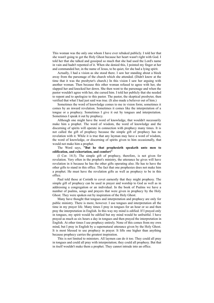This woman was the only one whom I have ever rebuked publicly. I told her that she wasn't going to get the Holy Ghost because her heart wasn't right with God. I told her that she talked and gossiped so much that she had used the Lord's name in vain and hadn't repented of it. When she denied this, I pointed my finger at her and commanded her, in the name of Jesus, to be quiet, for she had a lying spirit.

Actually, I had a vision as she stood there. I saw her standing about a block away from the parsonage of the church which she attended. (Didn't know at the time that it was the presbyter's church.) In this vision I saw her arguing with another woman. Then because this other woman refused to agree with her, she slapped her and knocked her down. She then went to the parsonage and when the pastor wouldn't agree with her, she cursed him. I told her publicly that she needed to repent and to apologize to this pastor. The pastor, the skeptical presbyter, then verified that what I had just said was true. (It also made a believer out of him.)

Sometimes the word of knowledge comes to me in vision form; sometimes it comes by an inward revelation. Sometimes it comes like the interpretation of a tongue or a prophecy. Sometimes I give it out by tongues and interpretation. Sometimes I speak it out by prophecy.

Although one might have the word of knowledge, that wouldn't necessarily make him a prophet. The word of wisdom, the word of knowledge and the discerning of spirits will operate in connection with prophecy many times. It is not called the gift of prophecy because the simple gift of prophecy has no revelation with it. While it is true that any layman may have a word of wisdom, the word of knowledge, or discerning of spirits given to him occasionally, that would not make him a prophet.

#### The Word says, **"But he that prophesieth speaketh unto men to edification, and exhortation, and comfort"**

(I Cor. 14:3). The simple gift of prophecy, therefore, is not given for revelation. Very often in the prophet's ministry, the utterance he gives will have revelation in it because he has the other gifts operating also. He has to have the other gifts to stand in this office. The fact that one prophesies does not make him a prophet. He must have the revelation gifts as well as prophecy to be in this office.

Paul told those at Corinth to covet earnestly that they might prophesy. The simple gift of prophecy can be used in prayer and worship to God as well as in addressing a congregation or an individual. In the book of Psalms we have a number of psalms, songs and prayers that were given in prophecy by the Holy Ghost. They were spoken out by inspiration of the Holy Ghost.

Many have thought that tongues and interpretation and prophecy are only for public ministry. There is more, however. I use tongues and interpretation all the time in my prayer life. Many times I pray in tongues for an hour or so and then pray the interpretation in English. In this way my mind is edified. If I prayed only in tongues, my spirit would be edified but my mind would be unfruitful. I have prayed as much as six hours a day in tongues and then prayed the interpretation in English. At other times I use prophecy entirely. None of this comes from my own mind, but I pray in English by a supernatural utterance given by the Holy Ghost. It is most blessed to use prophecy in prayer. It lifts one higher than anything because prophecy carries the greatest inspiration.

This is not limited to ministers. All laymen can do it too. They could all pray in tongues and could all pray with interpretation; they could all prophesy. But that in itself wouldn't make them a prophet. They cannot intrude into an office.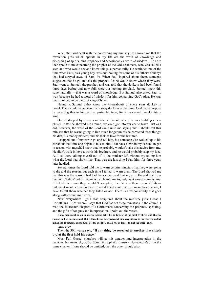When the Lord dealt with me concerning my ministry He showed me that the revelation gifts which operate in my life are the word of knowledge and discerning of spirits, plus prophecy and occasionally a word of wisdom. The Lord then spoke to me concerning the prophet of the Old Testament, who was called a seer, and who would see and know things supernaturally. He reminded me of the time when Saul, as a young boy, was out looking for some of his father's donkeys that had strayed away (I Sam. 9). When Saul inquired about them, someone suggested that he go and ask the prophet, for he would know where they were. Saul went to Samuel, the prophet, and was told that the donkeys had been found three days before and now folk were out looking for Saul. Samuel knew this supernaturally —that was a word of knowledge. But Samuel also asked Saul to wait because he had a word of wisdom for him concerning God's plan. He was then anointed to be the first king of Israel.

Naturally, Samuel didn't know the whereabouts of every stray donkey in Israel. There could have been many stray donkeys at the time. God had a purpose in revealing this to him at that particular time, for it concerned Israel's future king.

Once I stopped by to see a minister at the site where he was building a new church. After he showed me around, we each got into our car to leave. Just as I did, however, the word of the Lord came unto me saying that I should tell this minister that he wasn't going to live much longer unless he corrected three things: his diet, his money matters, and his lack of love for the brethren.

I stepped out of my car to go and tell him, but someone else walked up to his car about that time and began to talk to him. I sat back down in my car and began to reason with myself. I knew that he probably wouldn't take this advice from me. He didn't walk in love towards his brethren, and he would probably slap my face. As I sat there talking myself out of it, the minister left without my telling him what the Lord had shown me. That was the last time I saw him, for three years later he died.

Several times the Lord told me to warn certain ministers that they were going to die and the reason, but each time I failed to warn them. The Lord showed me that this was the reason I had had the accident and hurt my arm. He said that from then on if I didn't tell someone what He told me to, judgment would come on me. If I told them and they wouldn't accept it, then it was their responsibility judgment would come on them. Even if I feel sure that folk won't listen to me, I have to tell them whether they listen or not. There is a responsibility that goes along with certain ministries.

Now everywhere I go I read scriptures about the ministry gifts. I read I Corinthians 12:28 where it says that God has set these ministries in the church. I read the fourteenth chapter of I Corinthians concerning the prophets' speaking, and the gifts of tongues and interpretation. I point out the verses,

If any man speak in an unknown tongue, let it be by two, or at the most by three, and that by course; and let one interpret. But if there be no interpreter, let him keep silence in the church; and let him speak to himself, and to God. Let the prophets speak two or three, and let the other judge.

**Verses 27-29**

Then the 30th verse says, **"If any thing be revealed to another that sitteth by, let the first hold his peace."**

Most Full Gospel churches will permit tongues and interpretation in the services, but many shy away from the prophet's ministry. However, it's all in the same chapter. If one should be omitted, then the other should also.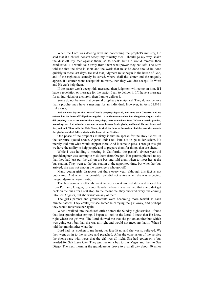When the Lord was dealing with me concerning the prophet's ministry, He said that if a church doesn't accept my ministry then I should go my way, shake the dust off my feet against them, so to speak; but He would remove their candlestick. He would take away from them what power they had left. The Lord told me that the time is short and the work that must be done should be done quickly in these last days. He said that judgment must begin in the house of God, and if the righteous scarcely be saved, where shall the sinner and the ungodly appear. If a church won't accept this ministry, then they wouldn't accept His Word and He can't help them.

If the pastor won't accept this message, then judgment will come on him. If I have a revelation or message for the pastor, I am to deliver it. If I have a message for an individual or a church, then I am to deliver it.

Some do not believe that personal prophecy is scriptural. They do not believe that a prophet may have a message for an individual. However, in Acts 21:8-11 Luke says,

**And the next day we that were of Paul's company departed, and came unto Caesarea: and we** entered into the house of Philip the evangelist ... And the same man had four daughters, virgins, which **did prophesy. And as we tarried there many days, there came down from Judaea a certain prophet,** named Agabus. And when he was come unto us, he took Paul's girdle, and bound his own hands and feet, and said. Thus saith the Holy Ghost, So shall the Jews at Jerusalem bind the man that owneth **this girdle, and shall deliver him into the hands of the Gentiles.**

One phase of the prophet's ministry is that he speaks for the Holy Ghost. In the scripture quoted above, Agabus didn't tell Paul not to go to Jerusalem. He merely told him what would happen there. And it came to pass. Through this gift we have the ability to help people and to prepare them for things that are ahead.

While I was holding a meeting in California, the pastor's sixteen-year-old granddaughter was coming to visit them from Oregon. Her parents phoned to say that they had just put the girl on the bus and told them when to meet her at the bus station. They went to the bus station at the appointed time, but when her bus arrived, she was not among the passengers who got off.

Many young girls disappear out there every year, although this fact is not publicized. And when this beautiful girl did not arrive when she was expected, the grandparents were frantic.

The bus company officials went to work on it immediately and traced her from Portland, Oregon, to Reno Nevada, where it was learned that she didn't get back on the bus after a rest stop. In the meantime, they checked every bus coming into Los Angeles, but she wasn't on any of them.

The girl's parents and grandparents were becoming more fearful as each minute passed. They could just see someone carrying the girl away, and perhaps they would never see her again.

When I walked into the church office before the Sunday night service, I found that dear grandmother crying. I began to look to the Lord. I knew that He knew right where the girl was. The Lord showed me that she got on another bus which was going east, but that she was all right and would not meet any harm. When I told the grandmother what the

Lord had just spoken to my heart, her face lit up and she was so relieved. We then went on in to the service and preached. After the conclusion of the service the phone rang with news that the girl was all right. She had gotten on a bus headed for Salt Lake City. They put her on a bus to Las Vegas and then to San Diego. The next morning the grandparents drove to a small city about 50 miles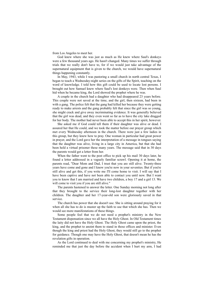#### from Los Angeles to meet her.

God knew where she was just as much as He knew where Saul's donkeys were a few thousand years ago. He hasn't changed. Many times we suffer through trials that we really don't have to, for if we would just take advantage of the supernatural equipment that is given to the church, we would have supernatural things happening constantly.

In May, 1943, while I was pastoring a small church in north central Texas, I began to teach a Wednesday-night series on the gifts of the Spirit, teaching on the word of knowledge. I told how this gift could be used to locate lost persons. I brought out how Samuel knew where Saul's lost donkeys were. Then when Saul hid when he became king, the Lord showed the prophet where he was.

A couple in the church had a daughter who had disappeared 23 years before. This couple were not saved at the time, and the girl, then sixteen, had been in with a gang. The police felt that the gang had killed her because they were getting ready to make arrests and the gang probably felt that since the girl was so young, she might crack and give away incriminating evidence. It was generally believed that the girl was dead, and they even went so far as to have the city lake dragged for her body. The mother had never been able to accept this in her spirit, however.

She asked me if God could tell them if their daughter was alive or dead. I assured her that He could, and we took the matter before our prayer group which met every Wednesday afternoon in the church. There were just a few ladies in this group, but they knew how to pray. One woman in particular had great power in prayer, and the Lord gave her the interpretation of a message in tongues saying that the daughter was alive, living in a large city in America, but that she had been held a virtual prisoner these many years. The message said that in 30 days the parents would get a letter from her.

When the father went to the post office to pick up his mail 30 days later, he found a letter addressed in a vaguely familiar scrawl. Opening it at home, the parents read, "Dear Mom and Dad, I trust that you are still alive. Twenty-three years have come and gone and I know you're now in your seventies. But if you're still alive and get this, if you write me I'll come home to visit. I will say that I have been captive and have not been able to contact you until now. But I want you to know that I am married and have two children, a boy 17 and a girl 13. We will come to visit you if you are still alive."

The parents hastened to answer the letter. One Sunday morning not long after that they brought to the service their long-lost daughter together with her children. The daughter and her 17-year-old son were gloriously saved in that service.

The church has power that she doesn't use. She is sitting around praying for it when all she has to do is muster up the faith to use that which she has. Then we would see more manifestations of these things.

Some people feel that we do not need a prophet's ministry in the New Testament dispensation since we all have the Holy Ghost. In Old Testament times the laity did not have the Holy Ghost. The Holy Ghost came upon the priest, the king, and the prophet to anoint them to stand in those offices and minister. Even though the king and priest had the Holy Ghost, they would still go to the prophet for guidance. Though one may have the Holy Ghost, that doesn't mean he has the revelation gifts in operation.

As the Lord continued to deal with me concerning my prophet's ministry, He reminded me that just the day before the accident when I hurt my arm, I had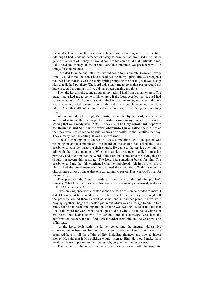received a letter from the pastor of a large church inviting me for a meeting. Although I had made no demands of salary to him, he had promised me a rather generous amount of money if I would come to his church. At that particular time, I did need the money. If we are not careful, sometimes we preachers will do things for convenience.

I decided to write and tell him I would come to his church. However, every time I would think about it, I had a dead feeling in my spirit, almost a weight. I realized later that this was the Holy Spirit prompting me not to go. It was a stop sign that He had put there. The Lord didn't want me to go as that pastor would not have accepted my ministry. I would have been wasting my time.

Then the Lord spoke to me about an invitation I had from a small church. The pastor had asked me to come to his church, if the Lord ever led me to, but I had forgotten about it. As I prayed about it, the Lord led me to go, and when I did, we had a meeting! God blessed abundantly and many people received the Holy Ghost. Also, that little old church paid me more money than I've gotten in a long time.<br>We are not led by the prophet's ministry, we are led by the Lord, generally by

an inward witness. But the prophet's ministry is used many times to confirm the leading that we already have. Acts 13:2 says **"... The Holy Ghost said, Separate me Barnabas and Saul for the work whereunto I have called them."** Notice that they were not called to be missionaries or apostles to the Gentiles that day. They already had the calling. It was just confirmed.

I held a meeting in a church in Texas some time ago. The pastor was resigning in about a month and the board of the church had asked the local presbyter to consider pastoring their church. He came to the service one night to talk with the board members. When the service was over I called him aside privately and told him that the Word of the Lord had come unto me saying that he should not accept this pastorate. The Lord had something better for him. The presbyter told me that this confirmed what he had already felt in his own spirit. He thanked the board members, but declined their invitation. Within a month a church three times as big as that one called him to pastor. This was God's plan for his ministry.

This presbyter didn't get a leading through me or through the prophet's ministry. What he already knew in his own spirit was merely confirmed, as it was in the 13 th chapter of Acts.

I was praying once with a pastor about a certain decision he needed to make. I didn't know what he wanted prayer for, but I did know that they had bought all the property around them as well as some land in another place. As we were praying together I began to speak a psalm out which was a message to him. It told him what he had been thinking and on what he was waiting. He later told me that I had said, word for word, what he had just told his wife. He had had a witness in his heart, but hadn't known for certain, and this message was just the confirmation needed. It had lifted a great burden from him and he was now sure of his way.

As the Lord dealt with me further concerning the inward witness, He cautioned me to listen to Him, as I always got in trouble when I didn't listen. He promised help in all the affairs of life, including finances and how to invest money. He said that if His children would listen to Him, He would make them wealthy. He isn't opposed to their being rich, only to their being covetous.

The matter of the inward witness does not do away with the need for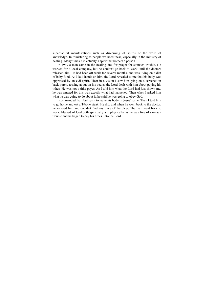supernatural manifestations such as discerning of spirits or the word of knowledge. In ministering to people we need these, especially in the ministry of healing. Many times it is actually a spirit that bothers a person.

In 1949 a man came in the healing line for prayer for stomach trouble. He worked for a local company, but he couldn't go back to work until the doctors released him. He had been off work for several months, and was living on a diet of baby food. As I laid hands on him, the Lord revealed to me that his body was oppressed by an evil spirit. Then in a vision I saw him lying on a screened-in back porch, tossing about on his bed as the Lord dealt with him about paying his tithes. He was not a tithe payer. As I told him what the Lord had just shown me, he was amazed for this was exactly what had happened. Then when I asked him what he was going to do about it, he said he was going to obey God.

I commanded that foul spirit to leave his body in Jesus' name. Then I told him to go home and eat a T-bone steak. He did, and when he went back to the doctor, he x-rayed him and couldn't find any trace of the ulcer. The man went back to work, blessed of God both spiritually and physically, as he was free of stomach trouble and he began to pay his tithes unto the Lord.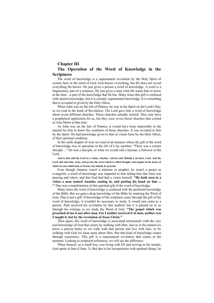### **Chapter III**

### **The Operation of the Word of Knowledge in the Scriptures**

The word of knowledge is a supernatural revelation by the Holy Spirit of certain facts in the mind of God. God knows everything, but He does not reveal everything He knows. He just gives a person a word of knowledge. A word is a fragmentary part of a sentence. He just gives a man what He wants him to know at the time—a part of the knowledge that He has. Many times this gift is confused with natural knowledge, but it is actually supernatural knowledge. It is something that is revealed or given by the Holy Ghost.

When John was on the Isle of Patmos, he was in the Spirit on the Lord's Day, as we read in the book of Revelation. The Lord gave him a word of knowledge about seven different churches. Those churches actually existed. They may have a prophetical application for us, but they were seven literal churches that existed in Asia Minor at that time.

As John was on the Isle of Patmos, it would have been impossible in the natural for him to know the condition of those churches. It was revealed to him by the Spirit. He had knowledge given to him in vision form by the Holy Ghost, of their spiritual condition.

In the ninth chapter of Acts we read of an instance where the gift of the word of knowledge was in operation in the life of a lay member. "There was a certain disciple ..." He was a disciple, or what we would call a layman, a follower of the Lord.

And to him said the Lord in a vision, Ananias, And he said, Behold, I am here, Lord, And the Lord said unto him, Arise, and go into the street which is called Straight, and enquire in the house of **Judas for one called Saul, of Tarsus: for, behold, he prayeth.**

Even though Ananias wasn't a minister or prophet, he wasn't a pastor or evangelist, a word of knowledge was imparted to him telling him that Saul was praying and where, and that Saul had had a vision himself. **"He hath seen in a vision a man named Ananias coming in, and putting his hand on him ... "** That was a manifestation of this spiritual gift of the word of knowledge.

Many times the word of knowledge is confused with the profound knowledge of the Bible. But we gain a deep knowledge of the Bible by studying the Word of God. That is not a gift. If knowledge of the scriptures came through the gift of the word of knowledge, it wouldn't be necessary to study. It would just come to a person. Paul received his revelation by this method, but it is passed on to us through his writings as we study the Word of God. **"The gospel which was preached of me is not after man. For I neither received it of man, neither was I taught it, but by the revelation of Jesus Christ."**

Then again, this word of knowledge is associated erroneously with the very real knowledge of God that comes by walking with Him. Just as in the natural we know a person better as we walk with that person and live with him, so by walking with God we learn more about Him. But that kind of knowledge comes through experience. This gift is a supernatural revelation that comes at the moment. Looking to scriptural references, we will see the difference.

When Samuel, as a small boy, was living with Eli and serving in the temple, God spoke to him (I Sam. 3). But due to his inexperience with spiritual things, he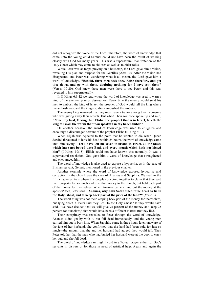did not recognize the voice of the Lord. Therefore, the word of knowledge that came unto the young child Samuel could not have been the result of walking closely with God for many years. This was a supernatural manifestation of the Holy Ghost which may come to children as well as to older folks.

While Peter was at Joppa praying on a housetop, the Lord gave him a vision, revealing His plan and purpose for the Gentiles (Acts 10). After the vision had disappeared and Peter was wondering what it all meant, the Lord gave him a word of knowledge. **"Behold, three men seek thee. Arise therefore, and get thee down, and go with them, doubting nothing; for I have sent them"** (Verses 19-20). God knew those men were there to see Peter, and this was revealed to him supernaturally.

In II Kings 6:9-12 we read where the word of knowledge was used to warn a king of the enemy's plan of destruction. Every time the enemy would send his men to ambush the king of Israel, the prophet of God would tell the king where the ambush was, and the king's soldiers ambushed the ambush.

The enemy king reasoned that they must have a traitor among them, someone who was giving away their secrets. But who? Then someone spoke up and said, **"None, my lord, O king: but Elisha, the prophet that is in Israel, telleth the king of Israel the words that thou speaketh in thy bedchamber."**

On another occasion the word of knowledge was used to enlighten and encourage a discouraged servant of the prophet Elisha (II King 6:17).

When Elijah was dejected to the point that he wanted to die when Queen Jezebel threatened to have his head within 24 hours, the word of knowledge came unto him saying, **"Yet I have left me seven thousand in Israel, all the knees which have not bowed unto Baal, and every mouth which hath not kissed him"** (I Kings 19:18). Elijah could not have known this naturally. It was a supernatural revelation. God gave him a word of knowledge that strengthened and encouraged him.

The word of knowledge is also used to expose a hypocrite, as in the case of Elisha's servant, Gehazi, mentioned in the previous chapter.

Another example where the word of knowledge exposed hypocrisy and corruption in the church was the case of Ananias and Sapphira. We read in the fifth chapter of Acts where this couple conspired together to claim that they sold their property for so much and give that money to the church, but held back part of the money for themselves. When Ananias came in and put the money at the apostles' feet, Peter said, **"Ananias, why hath Satan filled thine heart to lie to the Holy Ghost, and to keep back part of the price of the land?"** (Verse 3).

The worst thing was not their keeping back part of the money for themselves, but lying about it. Peter said they lied "to the Holy Ghost." If they would have said, "We have decided that we will give 75 percent of the money and keep 25 percent for ourselves," that would have been a different matter. But they lied.

Their conspiracy was revealed to Peter through the word of knowledge. Ananias didn't get by with it, but fell dead immediately, and the young men carried him out to bury him. When Sapphira came in three hours later, unaware of the fate of her husband, she confirmed that the land had been sold for just so much—the amount that she and her husband had agreed they would tell. Then Peter told her that the men who had buried her husband were at the door to carry her out, and she fell dead.

The word of knowledge can mightily aid in effectual prayer either for God's servants in distress or for those in need of spiritual help. Again and again the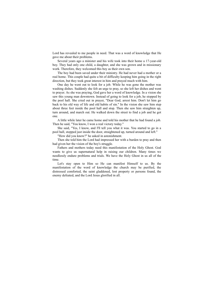Lord has revealed to me people in need. That was a word of knowledge that He gave me about their problems.

Several years ago a minister and his wife took into their home a 17-year-old boy. They had only one child, a daughter, and she was grown and in missionary work. Therefore, they welcomed this boy as their own son.

The boy had been saved under their ministry. He had never had a mother or a real home. This couple had quite a bit of difficulty keeping him going in the right direction, but they took great interest in him and prayed much with him.

One day he went out to look for a job. While he was gone the mother was washing dishes. Suddenly she felt an urge to pray, so she left her dishes and went to prayer. As she was praying, God gave her a word of knowledge. In a vision she saw this young man downtown. Instead of going to look for a job, he stopped by the pool hall. She cried out in prayer, "Dear God, arrest him. Don't let him go back to his old way of life and old habits of sin." In the vision she saw him step about three feet inside the pool hall and stop. Then she saw him straighten up, turn around, and march out. He walked down the street to find a job and he got one.

A little while later he came home and told his mother that he had found a job. Then he said, "You know, I won a real victory today."

She said, "Yes, I know, and I'll tell you what it was. You started to go in a pool hall, stopped just inside the door, straightened up, turned around and left."

"How did you know?" he asked in astonishment.

Then she told him the Lord had impressed her with a burden to pray and then had given her the vision of the boy's struggle.

Fathers and mothers today need this manifestation of the Holy Ghost. God wants to give us supernatural help in raising our children. Many times we needlessly endure problems and trials. We have the Holy Ghost in us all of the time.

Let's stay open to Him so He can manifest Himself to us. By the manifestation of the word of knowledge the church may be purified, the distressed comforted, the saint gladdened, lost property or persons found, the enemy defeated, and the Lord Jesus glorified in all.